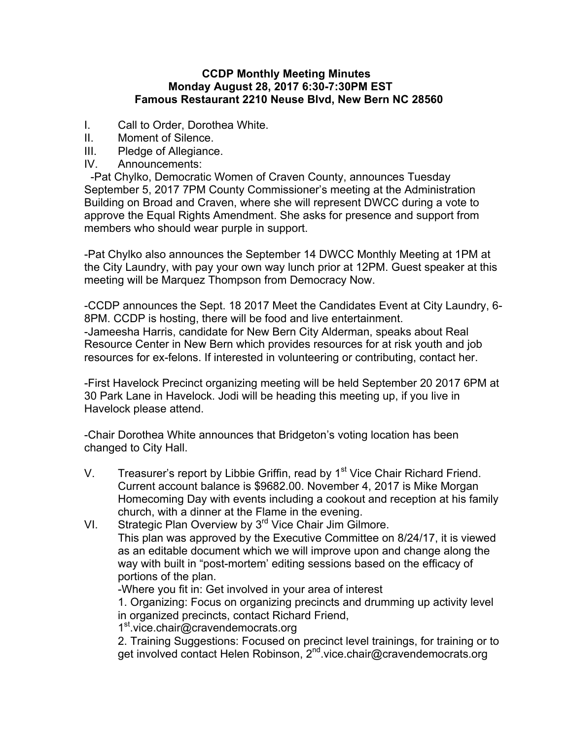## **CCDP Monthly Meeting Minutes Monday August 28, 2017 6:30-7:30PM EST Famous Restaurant 2210 Neuse Blvd, New Bern NC 28560**

- I. Call to Order, Dorothea White.
- II. Moment of Silence.
- III. Pledge of Allegiance.
- IV. Announcements:

 -Pat Chylko, Democratic Women of Craven County, announces Tuesday September 5, 2017 7PM County Commissioner's meeting at the Administration Building on Broad and Craven, where she will represent DWCC during a vote to approve the Equal Rights Amendment. She asks for presence and support from members who should wear purple in support.

-Pat Chylko also announces the September 14 DWCC Monthly Meeting at 1PM at the City Laundry, with pay your own way lunch prior at 12PM. Guest speaker at this meeting will be Marquez Thompson from Democracy Now.

-CCDP announces the Sept. 18 2017 Meet the Candidates Event at City Laundry, 6- 8PM. CCDP is hosting, there will be food and live entertainment. -Jameesha Harris, candidate for New Bern City Alderman, speaks about Real Resource Center in New Bern which provides resources for at risk youth and job resources for ex-felons. If interested in volunteering or contributing, contact her.

-First Havelock Precinct organizing meeting will be held September 20 2017 6PM at 30 Park Lane in Havelock. Jodi will be heading this meeting up, if you live in Havelock please attend.

-Chair Dorothea White announces that Bridgeton's voting location has been changed to City Hall.

- V. Treasurer's report by Libbie Griffin, read by  $1<sup>st</sup>$  Vice Chair Richard Friend. Current account balance is \$9682.00. November 4, 2017 is Mike Morgan Homecoming Day with events including a cookout and reception at his family church, with a dinner at the Flame in the evening.
- VI. Strategic Plan Overview by 3<sup>rd</sup> Vice Chair Jim Gilmore. This plan was approved by the Executive Committee on 8/24/17, it is viewed as an editable document which we will improve upon and change along the way with built in "post-mortem' editing sessions based on the efficacy of portions of the plan.

-Where you fit in: Get involved in your area of interest

1. Organizing: Focus on organizing precincts and drumming up activity level in organized precincts, contact Richard Friend,

1<sup>st</sup>.vice.chair@cravendemocrats.org

2. Training Suggestions: Focused on precinct level trainings, for training or to get involved contact Helen Robinson, 2<sup>nd</sup> vice.chair@cravendemocrats.org